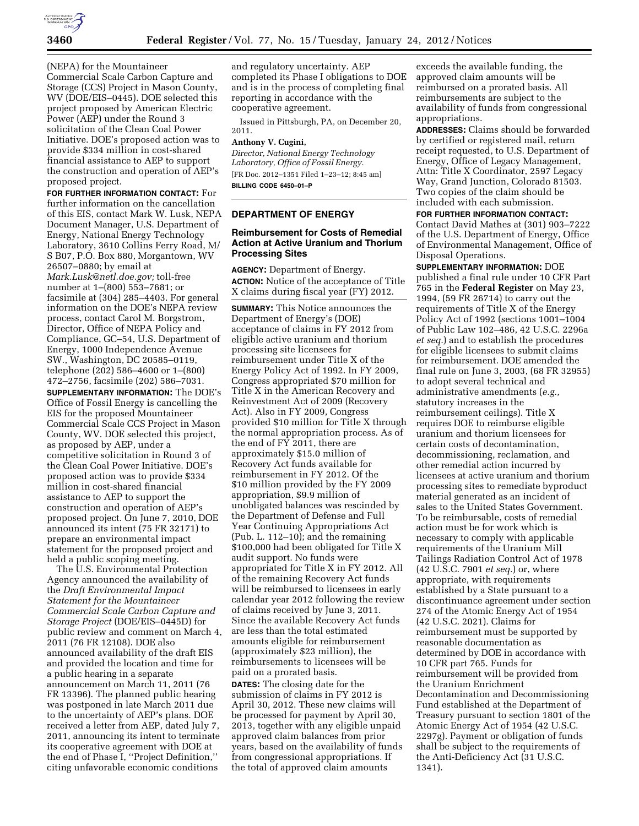

(NEPA) for the Mountaineer Commercial Scale Carbon Capture and Storage (CCS) Project in Mason County, WV (DOE/EIS–0445). DOE selected this project proposed by American Electric Power (AEP) under the Round 3 solicitation of the Clean Coal Power Initiative. DOE's proposed action was to provide \$334 million in cost-shared financial assistance to AEP to support the construction and operation of AEP's proposed project.

**FOR FURTHER INFORMATION CONTACT:** For further information on the cancellation of this EIS, contact Mark W. Lusk, NEPA Document Manager, U.S. Department of Energy, National Energy Technology Laboratory, 3610 Collins Ferry Road, M/ S B07, P.O. Box 880, Morgantown, WV 26507–0880; by email at *[Mark.Lusk@netl.doe.gov;](mailto:Mark.Lusk@netl.doe.gov)* toll-free number at 1–(800) 553–7681; or facsimile at (304) 285–4403. For general information on the DOE's NEPA review process, contact Carol M. Borgstrom, Director, Office of NEPA Policy and Compliance, GC–54, U.S. Department of Energy, 1000 Independence Avenue SW., Washington, DC 20585–0119, telephone (202) 586–4600 or 1–(800) 472–2756, facsimile (202) 586–7031.

**SUPPLEMENTARY INFORMATION:** The DOE's Office of Fossil Energy is cancelling the EIS for the proposed Mountaineer Commercial Scale CCS Project in Mason County, WV. DOE selected this project, as proposed by AEP, under a competitive solicitation in Round 3 of the Clean Coal Power Initiative. DOE's proposed action was to provide \$334 million in cost-shared financial assistance to AEP to support the construction and operation of AEP's proposed project. On June 7, 2010, DOE announced its intent (75 FR 32171) to prepare an environmental impact statement for the proposed project and held a public scoping meeting.

The U.S. Environmental Protection Agency announced the availability of the *Draft Environmental Impact Statement for the Mountaineer Commercial Scale Carbon Capture and Storage Project* (DOE/EIS–0445D) for public review and comment on March 4, 2011 (76 FR 12108). DOE also announced availability of the draft EIS and provided the location and time for a public hearing in a separate announcement on March 11, 2011 (76 FR 13396). The planned public hearing was postponed in late March 2011 due to the uncertainty of AEP's plans. DOE received a letter from AEP, dated July 7, 2011, announcing its intent to terminate its cooperative agreement with DOE at the end of Phase I, ''Project Definition,'' citing unfavorable economic conditions

and regulatory uncertainty. AEP completed its Phase I obligations to DOE and is in the process of completing final reporting in accordance with the cooperative agreement.

Issued in Pittsburgh, PA, on December 20, 2011.

## **Anthony V. Cugini,**

*Director, National Energy Technology Laboratory, Office of Fossil Energy.*  [FR Doc. 2012–1351 Filed 1–23–12; 8:45 am] **BILLING CODE 6450–01–P** 

### **DEPARTMENT OF ENERGY**

# **Reimbursement for Costs of Remedial Action at Active Uranium and Thorium Processing Sites**

**AGENCY:** Department of Energy. **ACTION:** Notice of the acceptance of Title X claims during fiscal year (FY) 2012.

**SUMMARY:** This Notice announces the Department of Energy's (DOE) acceptance of claims in FY 2012 from eligible active uranium and thorium processing site licensees for reimbursement under Title X of the Energy Policy Act of 1992. In FY 2009, Congress appropriated \$70 million for Title X in the American Recovery and Reinvestment Act of 2009 (Recovery Act). Also in FY 2009, Congress provided \$10 million for Title X through the normal appropriation process. As of the end of FY 2011, there are approximately \$15.0 million of Recovery Act funds available for reimbursement in FY 2012. Of the \$10 million provided by the FY 2009 appropriation, \$9.9 million of unobligated balances was rescinded by the Department of Defense and Full Year Continuing Appropriations Act (Pub. L. 112–10); and the remaining \$100,000 had been obligated for Title X audit support. No funds were appropriated for Title X in FY 2012. All of the remaining Recovery Act funds will be reimbursed to licensees in early calendar year 2012 following the review of claims received by June 3, 2011. Since the available Recovery Act funds are less than the total estimated amounts eligible for reimbursement (approximately \$23 million), the reimbursements to licensees will be paid on a prorated basis. **DATES:** The closing date for the submission of claims in FY 2012 is April 30, 2012. These new claims will be processed for payment by April 30, 2013, together with any eligible unpaid approved claim balances from prior years, based on the availability of funds from congressional appropriations. If the total of approved claim amounts

exceeds the available funding, the approved claim amounts will be reimbursed on a prorated basis. All reimbursements are subject to the availability of funds from congressional appropriations.

**ADDRESSES:** Claims should be forwarded by certified or registered mail, return receipt requested, to U.S. Department of Energy, Office of Legacy Management, Attn: Title X Coordinator, 2597 Legacy Way, Grand Junction, Colorado 81503. Two copies of the claim should be included with each submission.

**FOR FURTHER INFORMATION CONTACT:**  Contact David Mathes at (301) 903–7222 of the U.S. Department of Energy, Office of Environmental Management, Office of Disposal Operations.

**SUPPLEMENTARY INFORMATION:** DOE published a final rule under 10 CFR Part 765 in the **Federal Register** on May 23, 1994, (59 FR 26714) to carry out the requirements of Title X of the Energy Policy Act of 1992 (sections 1001–1004 of Public Law 102–486, 42 U.S.C. 2296a *et seq.*) and to establish the procedures for eligible licensees to submit claims for reimbursement. DOE amended the final rule on June 3, 2003, (68 FR 32955) to adopt several technical and administrative amendments (*e.g.,*  statutory increases in the reimbursement ceilings). Title X requires DOE to reimburse eligible uranium and thorium licensees for certain costs of decontamination, decommissioning, reclamation, and other remedial action incurred by licensees at active uranium and thorium processing sites to remediate byproduct material generated as an incident of sales to the United States Government. To be reimbursable, costs of remedial action must be for work which is necessary to comply with applicable requirements of the Uranium Mill Tailings Radiation Control Act of 1978 (42 U.S.C. 7901 *et seq.*) or, where appropriate, with requirements established by a State pursuant to a discontinuance agreement under section 274 of the Atomic Energy Act of 1954 (42 U.S.C. 2021). Claims for reimbursement must be supported by reasonable documentation as determined by DOE in accordance with 10 CFR part 765. Funds for reimbursement will be provided from the Uranium Enrichment Decontamination and Decommissioning Fund established at the Department of Treasury pursuant to section 1801 of the Atomic Energy Act of 1954 (42 U.S.C. 2297g). Payment or obligation of funds shall be subject to the requirements of the Anti-Deficiency Act (31 U.S.C. 1341).